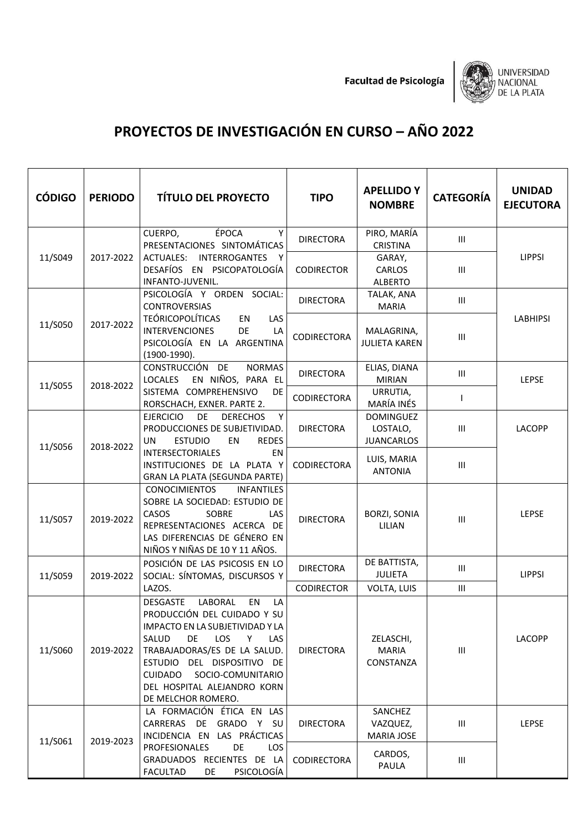**Facultad de Psicología** 



## **PROYECTOS DE INVESTIGACIÓN EN CURSO – AÑO 2022**

| <b>CÓDIGO</b> | <b>PERIODO</b> | <b>TÍTULO DEL PROYECTO</b>                                                                                                                                                                                                                                                                                   | <b>TIPO</b>        | <b>APELLIDO Y</b><br><b>NOMBRE</b>                | <b>CATEGORÍA</b>                   | <b>UNIDAD</b><br><b>EJECUTORA</b> |
|---------------|----------------|--------------------------------------------------------------------------------------------------------------------------------------------------------------------------------------------------------------------------------------------------------------------------------------------------------------|--------------------|---------------------------------------------------|------------------------------------|-----------------------------------|
|               |                | ÉPOCA<br>CUERPO,<br>Y<br>PRESENTACIONES SINTOMÁTICAS                                                                                                                                                                                                                                                         | <b>DIRECTORA</b>   | PIRO, MARÍA<br><b>CRISTINA</b>                    | III                                |                                   |
| 11/S049       | 2017-2022      | ACTUALES: INTERROGANTES Y<br>DESAFÍOS EN PSICOPATOLOGÍA<br>INFANTO-JUVENIL.                                                                                                                                                                                                                                  | <b>CODIRECTOR</b>  | GARAY,<br>CARLOS<br><b>ALBERTO</b>                | $\mathop{\rm III}$                 | <b>LIPPSI</b>                     |
|               |                | PSICOLOGÍA Y ORDEN SOCIAL:<br><b>CONTROVERSIAS</b>                                                                                                                                                                                                                                                           | <b>DIRECTORA</b>   | TALAK, ANA<br><b>MARIA</b>                        | $\mathop{\rm III}$                 |                                   |
| 11/S050       | 2017-2022      | <b>TEÓRICOPOLÍTICAS</b><br>EN<br>LAS<br><b>INTERVENCIONES</b><br>DE<br>LA<br>PSICOLOGÍA EN LA ARGENTINA<br>$(1900-1990).$                                                                                                                                                                                    | <b>CODIRECTORA</b> | MALAGRINA,<br><b>JULIETA KAREN</b>                | Ш                                  | <b>LABHIPSI</b>                   |
|               |                | CONSTRUCCIÓN DE<br><b>NORMAS</b><br>EN NIÑOS, PARA EL<br><b>LOCALES</b>                                                                                                                                                                                                                                      | <b>DIRECTORA</b>   | ELIAS, DIANA<br><b>MIRIAN</b>                     | Ш                                  | LEPSE                             |
| 11/S055       | 2018-2022      | SISTEMA COMPREHENSIVO<br><b>DE</b><br>RORSCHACH, EXNER. PARTE 2.                                                                                                                                                                                                                                             | CODIRECTORA        | URRUTIA,<br>MARÍA INÉS                            | $\mathsf{I}$                       |                                   |
| 11/S056       | 2018-2022      | <b>EJERCICIO</b><br>DE<br><b>DERECHOS</b><br>Y<br>PRODUCCIONES DE SUBJETIVIDAD.<br><b>UN</b><br><b>ESTUDIO</b><br>EN<br><b>REDES</b>                                                                                                                                                                         | <b>DIRECTORA</b>   | <b>DOMINGUEZ</b><br>LOSTALO,<br><b>JUANCARLOS</b> | III                                | LACOPP                            |
|               |                | <b>INTERSECTORIALES</b><br>EN<br>INSTITUCIONES DE LA PLATA Y<br>GRAN LA PLATA (SEGUNDA PARTE)                                                                                                                                                                                                                | CODIRECTORA        | LUIS, MARIA<br><b>ANTONIA</b>                     | $\mathop{\rm III}$                 |                                   |
| 11/S057       | 2019-2022      | <b>CONOCIMIENTOS</b><br><b>INFANTILES</b><br>SOBRE LA SOCIEDAD: ESTUDIO DE<br>SOBRE<br>CASOS<br>LAS<br>REPRESENTACIONES ACERCA DE<br>LAS DIFERENCIAS DE GÉNERO EN<br>NIÑOS Y NIÑAS DE 10 Y 11 AÑOS.                                                                                                          | <b>DIRECTORA</b>   | <b>BORZI, SONIA</b><br>LILIAN                     | $\ensuremath{\mathsf{III}}\xspace$ | LEPSE                             |
| 11/S059       | 2019-2022      | POSICIÓN DE LAS PSICOSIS EN LO<br>SOCIAL: SÍNTOMAS, DISCURSOS Y                                                                                                                                                                                                                                              | <b>DIRECTORA</b>   | DE BATTISTA,<br><b>JULIETA</b>                    | Ш                                  | <b>LIPPSI</b>                     |
|               |                | LAZOS.                                                                                                                                                                                                                                                                                                       | <b>CODIRECTOR</b>  | VOLTA, LUIS                                       | Ш                                  |                                   |
| 11/S060       | 2019-2022      | <b>DESGASTE</b><br>LABORAL<br>LA<br>EN<br>PRODUCCIÓN DEL CUIDADO Y SU<br>IMPACTO EN LA SUBJETIVIDAD Y LA<br><b>LOS</b><br>SALUD<br>DE.<br>Y<br>LAS<br>TRABAJADORAS/ES DE LA SALUD.<br>ESTUDIO DEL DISPOSITIVO DE<br>SOCIO-COMUNITARIO<br><b>CUIDADO</b><br>DEL HOSPITAL ALEJANDRO KORN<br>DE MELCHOR ROMERO. | <b>DIRECTORA</b>   | ZELASCHI,<br><b>MARIA</b><br>CONSTANZA            | Ш                                  | <b>LACOPP</b>                     |
| 11/S061       | 2019-2023      | LA FORMACIÓN ÉTICA EN LAS<br>CARRERAS DE GRADO Y SU<br>INCIDENCIA EN LAS PRÁCTICAS<br>DE<br>PROFESIONALES<br>LOS                                                                                                                                                                                             | <b>DIRECTORA</b>   | SANCHEZ<br>VAZQUEZ,<br>MARIA JOSE                 | Ш                                  | <b>LEPSE</b>                      |
|               |                | GRADUADOS RECIENTES DE LA<br>PSICOLOGÍA<br><b>FACULTAD</b><br>DE                                                                                                                                                                                                                                             | CODIRECTORA        | CARDOS,<br>PAULA                                  | $\mathop{\rm III}$                 |                                   |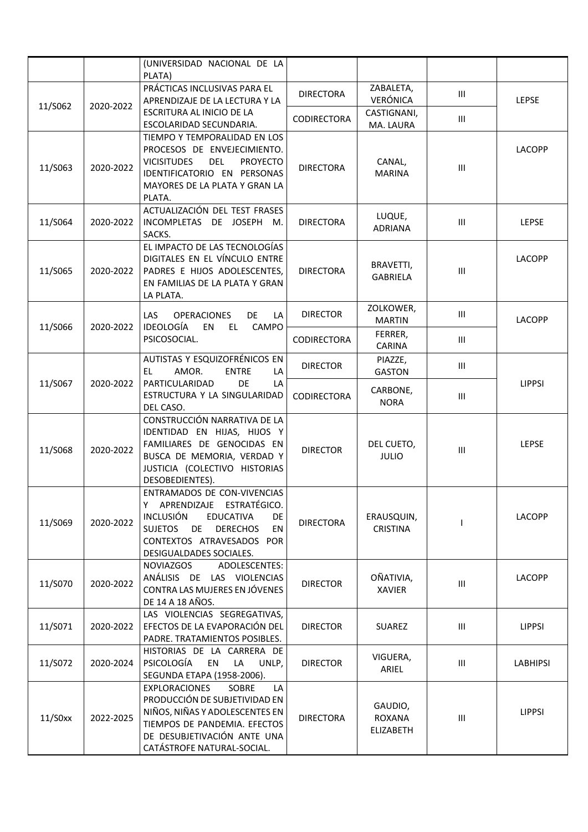|            |           | (UNIVERSIDAD NACIONAL DE LA<br>PLATA)                                                                                                                                                                               |                    |                                       |                                    |               |
|------------|-----------|---------------------------------------------------------------------------------------------------------------------------------------------------------------------------------------------------------------------|--------------------|---------------------------------------|------------------------------------|---------------|
| 11/S062    | 2020-2022 | PRÁCTICAS INCLUSIVAS PARA EL<br>APRENDIZAJE DE LA LECTURA Y LA                                                                                                                                                      | <b>DIRECTORA</b>   | ZABALETA,<br>VERÓNICA                 | Ш                                  | <b>LEPSE</b>  |
|            |           | ESCRITURA AL INICIO DE LA<br>ESCOLARIDAD SECUNDARIA.                                                                                                                                                                | CODIRECTORA        | CASTIGNANI,<br>MA. LAURA              | $\mathop{\rm III}$                 |               |
| 11/S063    | 2020-2022 | TIEMPO Y TEMPORALIDAD EN LOS<br>PROCESOS DE ENVEJECIMIENTO.<br>DEL<br><b>VICISITUDES</b><br><b>PROYECTO</b><br>IDENTIFICATORIO EN PERSONAS<br>MAYORES DE LA PLATA Y GRAN LA<br>PLATA.                               | <b>DIRECTORA</b>   | CANAL,<br><b>MARINA</b>               | $\ensuremath{\mathsf{III}}\xspace$ | LACOPP        |
| 11/S064    | 2020-2022 | ACTUALIZACIÓN DEL TEST FRASES<br>INCOMPLETAS DE JOSEPH M.<br>SACKS.                                                                                                                                                 | <b>DIRECTORA</b>   | LUQUE,<br><b>ADRIANA</b>              | Ш                                  | <b>LEPSE</b>  |
| 11/S065    | 2020-2022 | EL IMPACTO DE LAS TECNOLOGÍAS<br>DIGITALES EN EL VÍNCULO ENTRE<br>PADRES E HIJOS ADOLESCENTES,<br>EN FAMILIAS DE LA PLATA Y GRAN<br>LA PLATA.                                                                       | <b>DIRECTORA</b>   | BRAVETTI,<br><b>GABRIELA</b>          | III                                | LACOPP        |
| 11/S066    | 2020-2022 | LAS<br><b>OPERACIONES</b><br>DE<br>LA<br><b>IDEOLOGÍA</b><br>CAMPO<br>EN<br>EL.                                                                                                                                     | <b>DIRECTOR</b>    | ZOLKOWER,<br><b>MARTIN</b>            | III                                | LACOPP        |
|            |           | PSICOSOCIAL.                                                                                                                                                                                                        | <b>CODIRECTORA</b> | FERRER,<br><b>CARINA</b>              | Ш                                  |               |
|            |           | AUTISTAS Y ESQUIZOFRÉNICOS EN<br>AMOR.<br>EL<br><b>ENTRE</b><br>LA                                                                                                                                                  | <b>DIRECTOR</b>    | PIAZZE,<br><b>GASTON</b>              | Ш                                  | <b>LIPPSI</b> |
| 11/S067    | 2020-2022 | PARTICULARIDAD<br>DE<br>LA<br>ESTRUCTURA Y LA SINGULARIDAD<br>DEL CASO.                                                                                                                                             | CODIRECTORA        | CARBONE,<br><b>NORA</b>               | Ш                                  |               |
| 11/S068    | 2020-2022 | CONSTRUCCIÓN NARRATIVA DE LA<br>IDENTIDAD EN HIJAS, HIJOS Y<br>FAMILIARES DE GENOCIDAS EN<br>BUSCA DE MEMORIA, VERDAD Y<br>JUSTICIA (COLECTIVO HISTORIAS<br>DESOBEDIENTES).                                         | <b>DIRECTOR</b>    | DEL CUETO,<br><b>JULIO</b>            | Ш                                  | LEPSE         |
| 11/S069    | 2020-2022 | ENTRAMADOS DE CON-VIVENCIAS<br>APRENDIZAJE ESTRATÉGICO.<br>Υ<br><b>INCLUSIÓN</b><br><b>EDUCATIVA</b><br>DE<br><b>DERECHOS</b><br>EN<br><b>SUJETOS</b><br>DE<br>CONTEXTOS ATRAVESADOS POR<br>DESIGUALDADES SOCIALES. | <b>DIRECTORA</b>   | ERAUSQUIN,<br><b>CRISTINA</b>         |                                    | LACOPP        |
| 11/S070    | 2020-2022 | <b>NOVIAZGOS</b><br>ADOLESCENTES:<br>ANÁLISIS DE LAS VIOLENCIAS<br>CONTRA LAS MUJERES EN JÓVENES<br>DE 14 A 18 AÑOS.                                                                                                | <b>DIRECTOR</b>    | OÑATIVIA,<br><b>XAVIER</b>            | Ш                                  | LACOPP        |
| 11/S071    | 2020-2022 | LAS VIOLENCIAS SEGREGATIVAS,<br>EFECTOS DE LA EVAPORACIÓN DEL<br>PADRE. TRATAMIENTOS POSIBLES.                                                                                                                      | <b>DIRECTOR</b>    | SUAREZ                                | $\ensuremath{\mathsf{III}}\xspace$ | <b>LIPPSI</b> |
| 11/S072    | 2020-2024 | HISTORIAS DE LA CARRERA DE<br>PSICOLOGÍA<br>EN<br>LA<br>UNLP,<br>SEGUNDA ETAPA (1958-2006).                                                                                                                         | <b>DIRECTOR</b>    | VIGUERA,<br>ARIEL                     | III                                | LABHIPSI      |
| $11/50$ xx | 2022-2025 | <b>EXPLORACIONES</b><br><b>SOBRE</b><br>LA<br>PRODUCCIÓN DE SUBJETIVIDAD EN<br>NIÑOS, NIÑAS Y ADOLESCENTES EN<br>TIEMPOS DE PANDEMIA. EFECTOS<br>DE DESUBJETIVACIÓN ANTE UNA<br>CATÁSTROFE NATURAL-SOCIAL.          | <b>DIRECTORA</b>   | GAUDIO,<br><b>ROXANA</b><br>ELIZABETH | Ш                                  | <b>LIPPSI</b> |